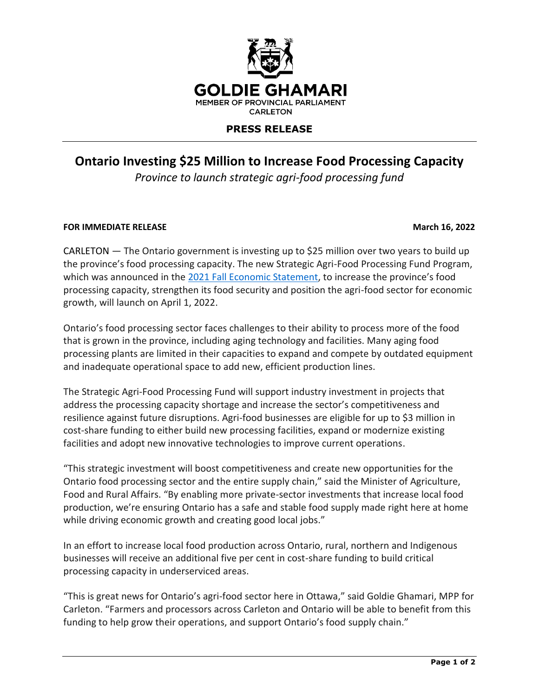

# **PRESS RELEASE**

# **Ontario Investing \$25 Million to Increase Food Processing Capacity**

*Province to launch strategic agri-food processing fund*

### **FOR IMMEDIATE RELEASE March 16, 2022**

CARLETON — The Ontario government is investing up to \$25 million over two years to build up the province's food processing capacity. The new Strategic Agri-Food Processing Fund Program, which was announced in the [2021 Fall Economic Statement](https://budget.ontario.ca/2021/fallstatement/index.html), to increase the province's food processing capacity, strengthen its food security and position the agri-food sector for economic growth, will launch on April 1, 2022.

Ontario's food processing sector faces challenges to their ability to process more of the food that is grown in the province, including aging technology and facilities. Many aging food processing plants are limited in their capacities to expand and compete by outdated equipment and inadequate operational space to add new, efficient production lines.

The Strategic Agri-Food Processing Fund will support industry investment in projects that address the processing capacity shortage and increase the sector's competitiveness and resilience against future disruptions. Agri-food businesses are eligible for up to \$3 million in cost-share funding to either build new processing facilities, expand or modernize existing facilities and adopt new innovative technologies to improve current operations.

"This strategic investment will boost competitiveness and create new opportunities for the Ontario food processing sector and the entire supply chain," said the Minister of Agriculture, Food and Rural Affairs. "By enabling more private-sector investments that increase local food production, we're ensuring Ontario has a safe and stable food supply made right here at home while driving economic growth and creating good local jobs."

In an effort to increase local food production across Ontario, rural, northern and Indigenous businesses will receive an additional five per cent in cost-share funding to build critical processing capacity in underserviced areas.

"This is great news for Ontario's agri-food sector here in Ottawa," said Goldie Ghamari, MPP for Carleton. "Farmers and processors across Carleton and Ontario will be able to benefit from this funding to help grow their operations, and support Ontario's food supply chain."